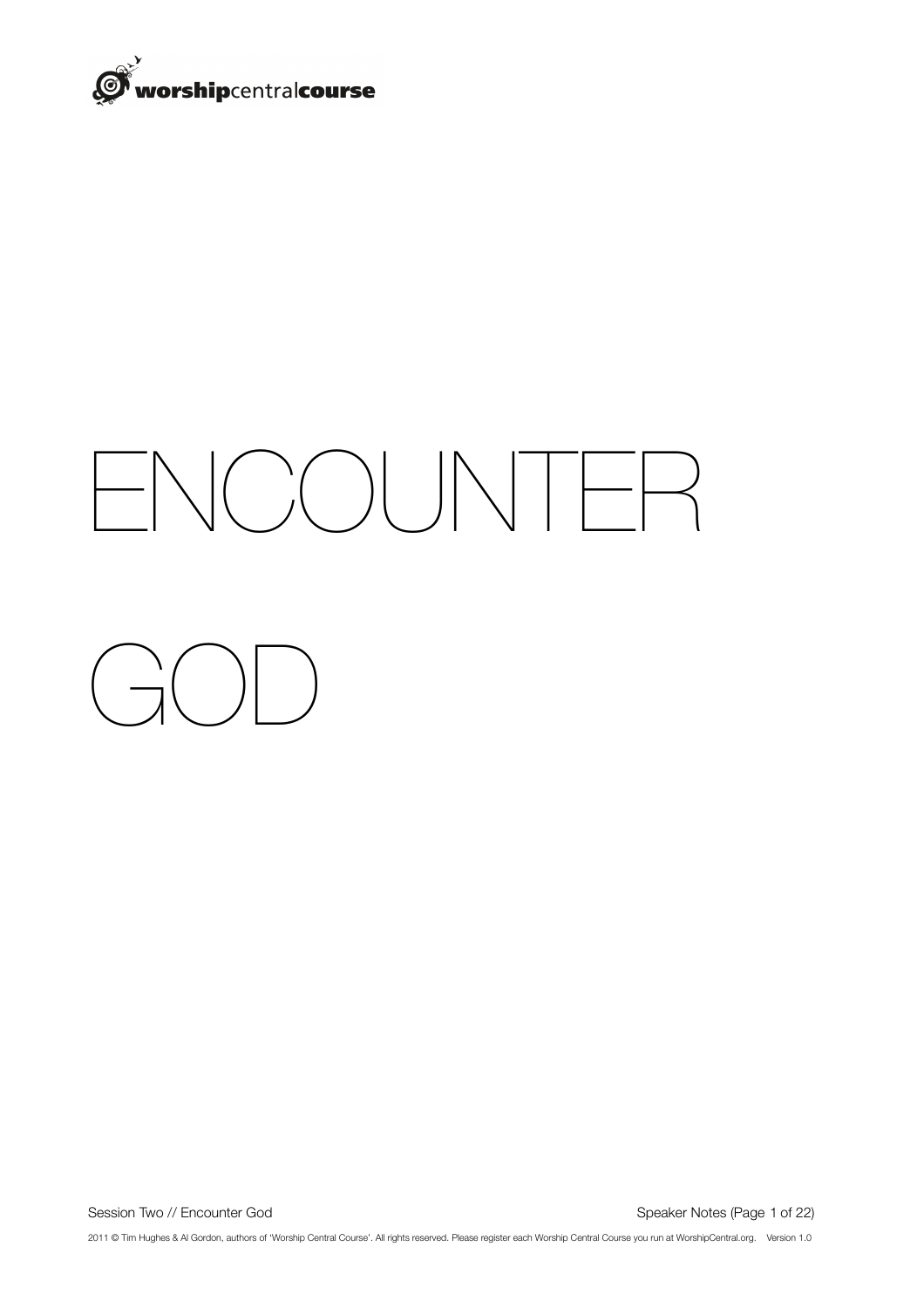

# ENCOUNTER

 $\begin{pmatrix} 1 & 1 \\ 1 & 1 \end{pmatrix}$ 

Session Two // Encounter God Speaker Notes (Page 1 of 22)

2011 © Tim Hughes & Al Gordon, authors of 'Worship Central Course'. All rights reserved. Please register each Worship Central Course you run at WorshipCentral.org. Version 1.0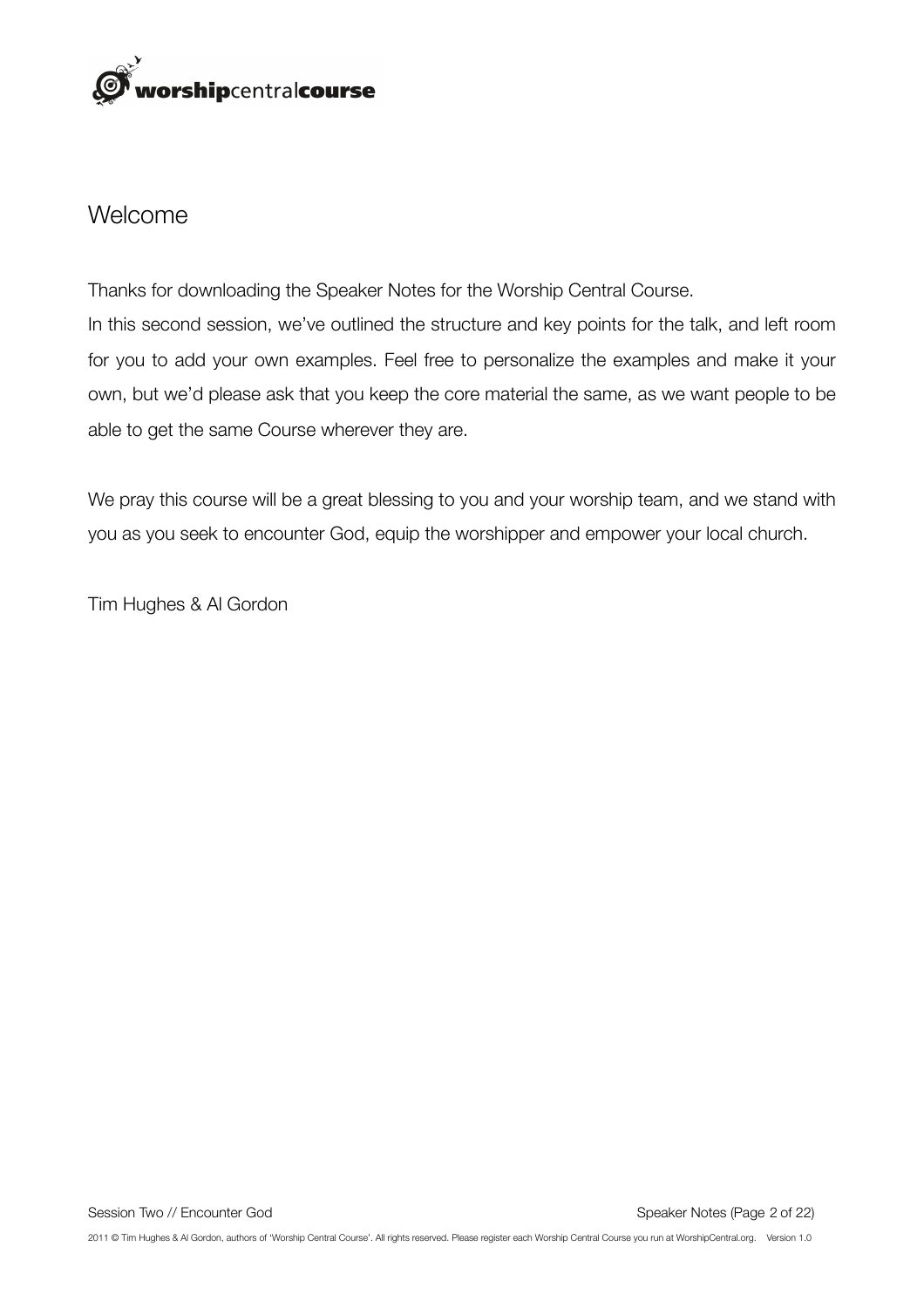

#### Welcome

Thanks for downloading the Speaker Notes for the Worship Central Course. In this second session, we've outlined the structure and key points for the talk, and left room for you to add your own examples. Feel free to personalize the examples and make it your own, but we'd please ask that you keep the core material the same, as we want people to be able to get the same Course wherever they are.

We pray this course will be a great blessing to you and your worship team, and we stand with you as you seek to encounter God, equip the worshipper and empower your local church.

Tim Hughes & Al Gordon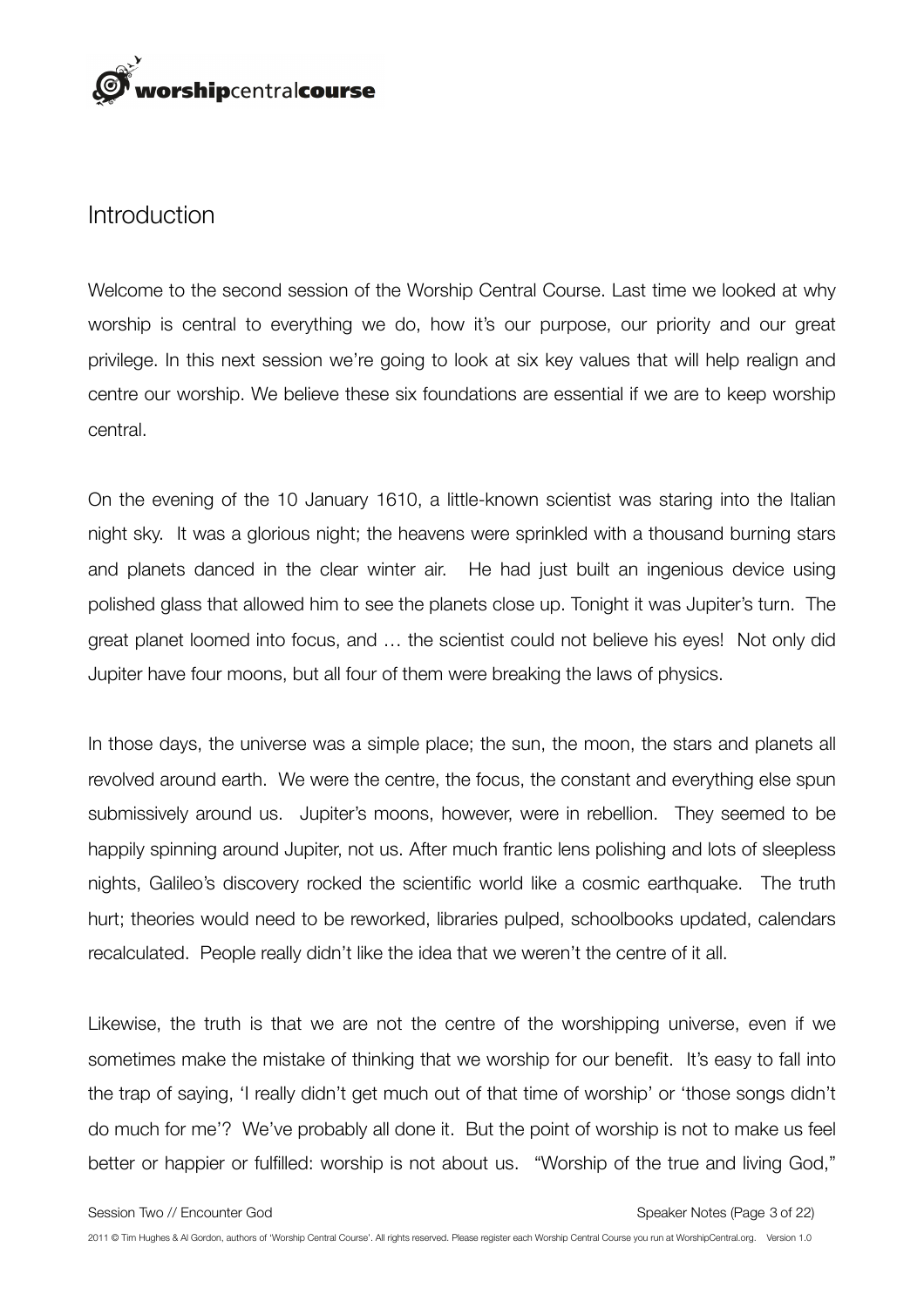

#### Introduction

Welcome to the second session of the Worship Central Course. Last time we looked at why worship is central to everything we do, how it's our purpose, our priority and our great privilege. In this next session we're going to look at six key values that will help realign and centre our worship. We believe these six foundations are essential if we are to keep worship central.

On the evening of the 10 January 1610, a little-known scientist was staring into the Italian night sky. It was a glorious night; the heavens were sprinkled with a thousand burning stars and planets danced in the clear winter air. He had just built an ingenious device using polished glass that allowed him to see the planets close up. Tonight it was Jupiter's turn. The great planet loomed into focus, and … the scientist could not believe his eyes! Not only did Jupiter have four moons, but all four of them were breaking the laws of physics.

In those days, the universe was a simple place; the sun, the moon, the stars and planets all revolved around earth. We were the centre, the focus, the constant and everything else spun submissively around us. Jupiter's moons, however, were in rebellion. They seemed to be happily spinning around Jupiter, not us. After much frantic lens polishing and lots of sleepless nights, Galileo's discovery rocked the scientific world like a cosmic earthquake. The truth hurt; theories would need to be reworked, libraries pulped, schoolbooks updated, calendars recalculated. People really didn't like the idea that we weren't the centre of it all.

Likewise, the truth is that we are not the centre of the worshipping universe, even if we sometimes make the mistake of thinking that we worship for our benefit. It's easy to fall into the trap of saying, 'I really didn't get much out of that time of worship' or 'those songs didn't do much for me'? We've probably all done it. But the point of worship is not to make us feel better or happier or fulfilled: worship is not about us. "Worship of the true and living God,"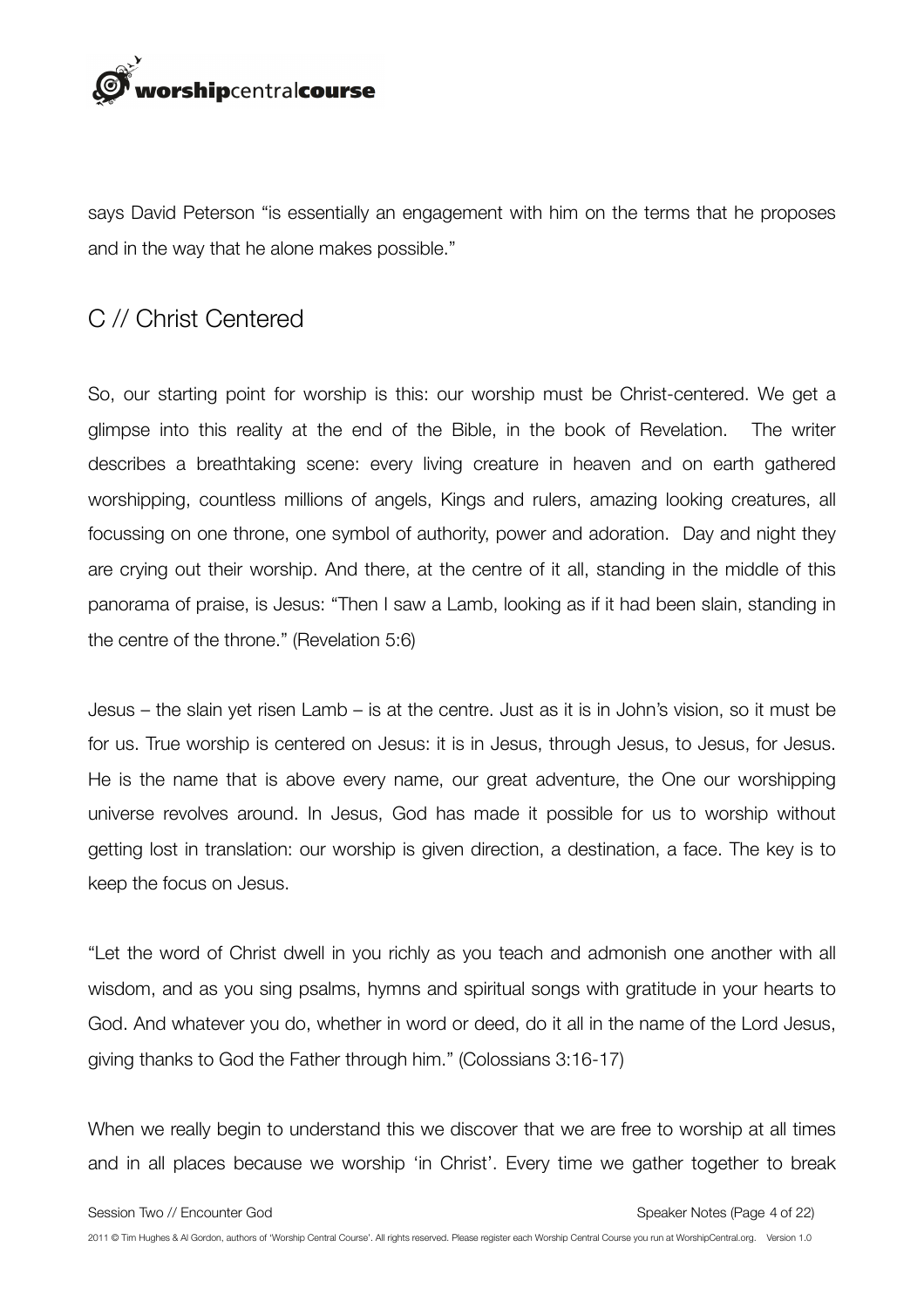

says David Peterson "is essentially an engagement with him on the terms that he proposes and in the way that he alone makes possible."

## C // Christ Centered

So, our starting point for worship is this: our worship must be Christ-centered. We get a glimpse into this reality at the end of the Bible, in the book of Revelation. The writer describes a breathtaking scene: every living creature in heaven and on earth gathered worshipping, countless millions of angels, Kings and rulers, amazing looking creatures, all focussing on one throne, one symbol of authority, power and adoration. Day and night they are crying out their worship. And there, at the centre of it all, standing in the middle of this panorama of praise, is Jesus: "Then I saw a Lamb, looking as if it had been slain, standing in the centre of the throne." (Revelation 5:6)

Jesus – the slain yet risen Lamb – is at the centre. Just as it is in John's vision, so it must be for us. True worship is centered on Jesus: it is in Jesus, through Jesus, to Jesus, for Jesus. He is the name that is above every name, our great adventure, the One our worshipping universe revolves around. In Jesus, God has made it possible for us to worship without getting lost in translation: our worship is given direction, a destination, a face. The key is to keep the focus on Jesus.

"Let the word of Christ dwell in you richly as you teach and admonish one another with all wisdom, and as you sing psalms, hymns and spiritual songs with gratitude in your hearts to God. And whatever you do, whether in word or deed, do it all in the name of the Lord Jesus, giving thanks to God the Father through him." (Colossians 3:16-17)

When we really begin to understand this we discover that we are free to worship at all times and in all places because we worship 'in Christ'. Every time we gather together to break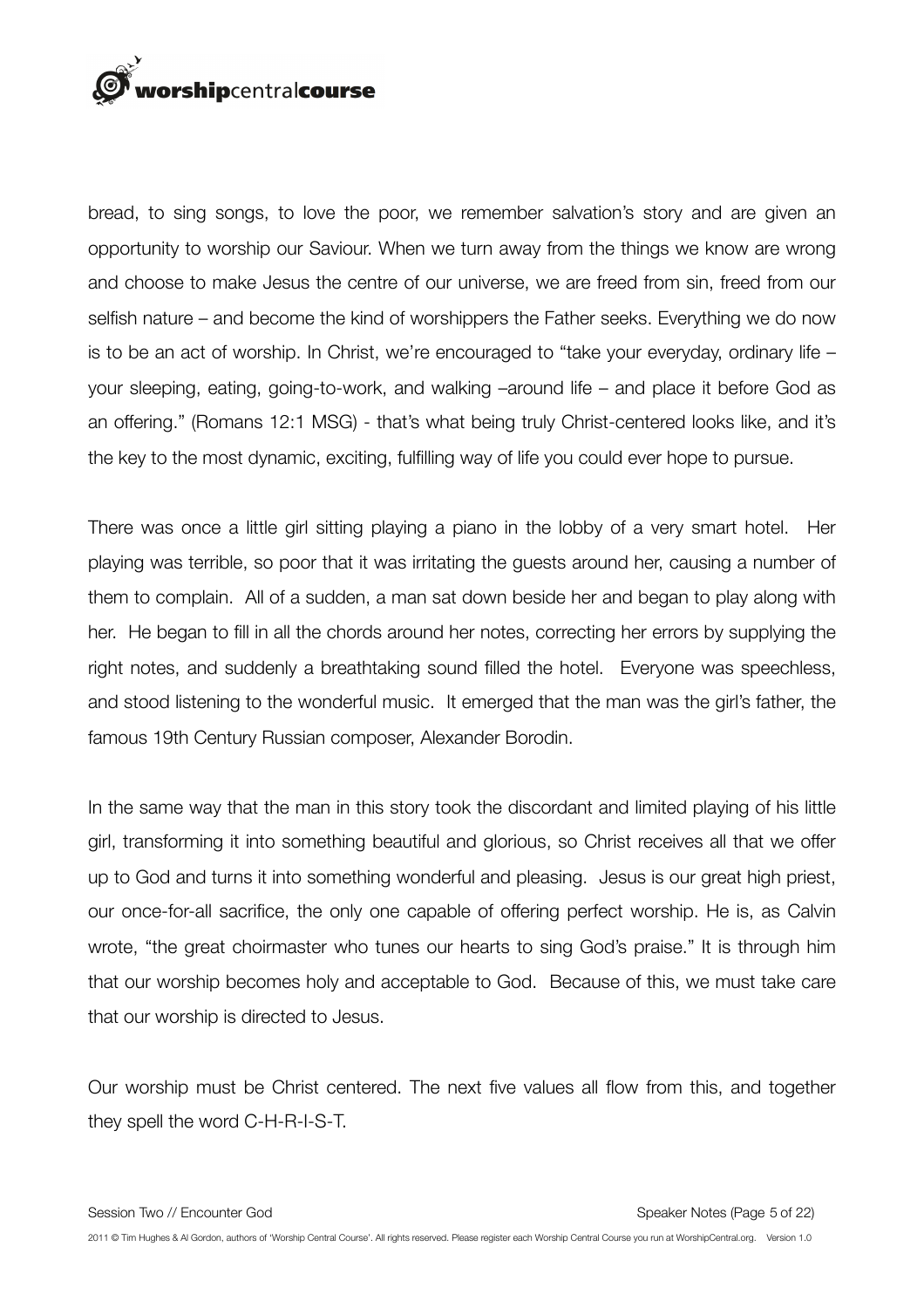# rorshipcentralcourse

bread, to sing songs, to love the poor, we remember salvation's story and are given an opportunity to worship our Saviour. When we turn away from the things we know are wrong and choose to make Jesus the centre of our universe, we are freed from sin, freed from our selfish nature – and become the kind of worshippers the Father seeks. Everything we do now is to be an act of worship. In Christ, we're encouraged to "take your everyday, ordinary life – your sleeping, eating, going-to-work, and walking –around life – and place it before God as an offering." (Romans 12:1 MSG) - that's what being truly Christ-centered looks like, and it's the key to the most dynamic, exciting, fulfilling way of life you could ever hope to pursue.

There was once a little girl sitting playing a piano in the lobby of a very smart hotel. Her playing was terrible, so poor that it was irritating the guests around her, causing a number of them to complain. All of a sudden, a man sat down beside her and began to play along with her. He began to fill in all the chords around her notes, correcting her errors by supplying the right notes, and suddenly a breathtaking sound filled the hotel. Everyone was speechless, and stood listening to the wonderful music. It emerged that the man was the girl's father, the famous 19th Century Russian composer, Alexander Borodin.

In the same way that the man in this story took the discordant and limited playing of his little girl, transforming it into something beautiful and glorious, so Christ receives all that we offer up to God and turns it into something wonderful and pleasing. Jesus is our great high priest, our once-for-all sacrifice, the only one capable of offering perfect worship. He is, as Calvin wrote, "the great choirmaster who tunes our hearts to sing God's praise." It is through him that our worship becomes holy and acceptable to God. Because of this, we must take care that our worship is directed to Jesus.

Our worship must be Christ centered. The next five values all flow from this, and together they spell the word C-H-R-I-S-T.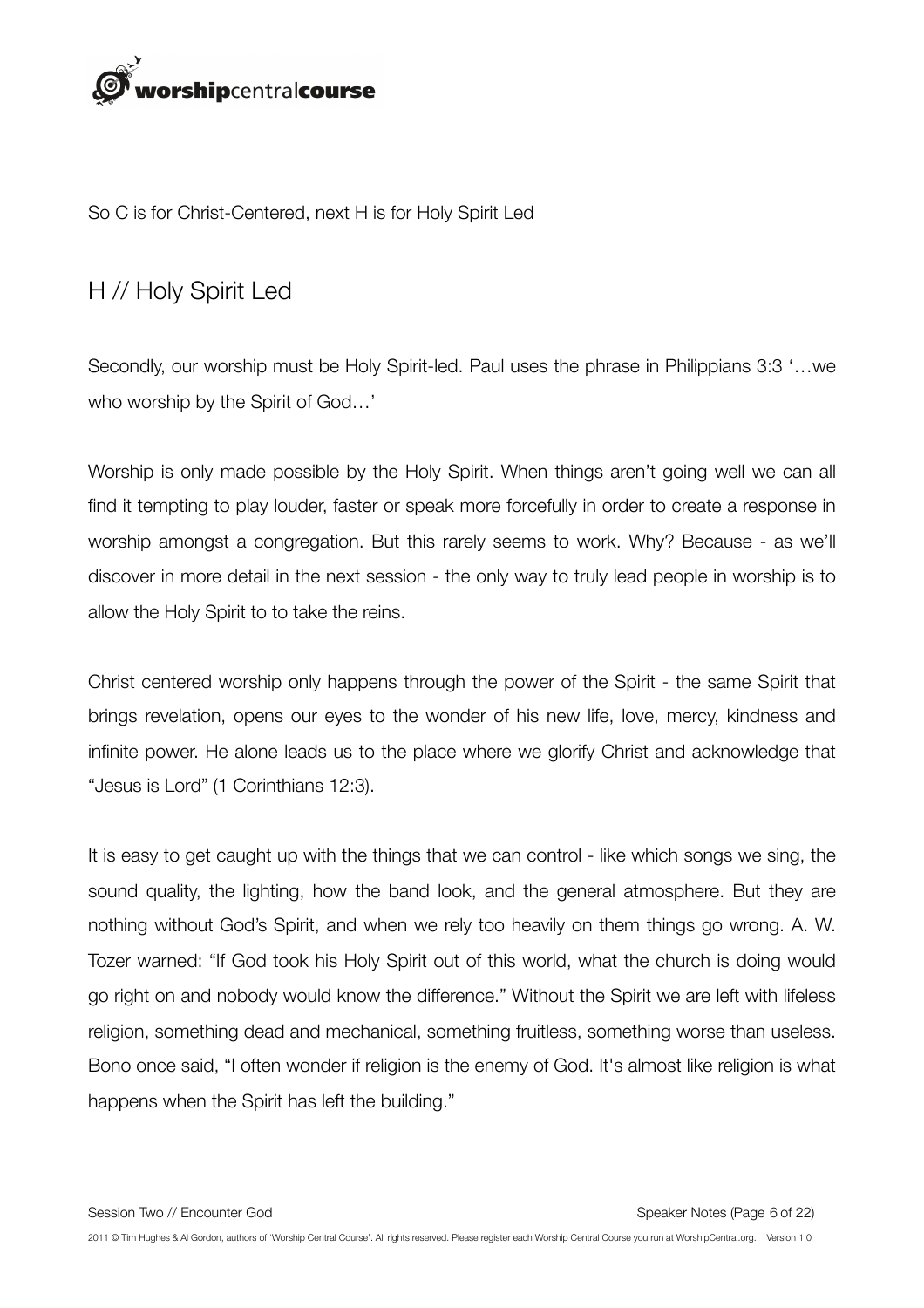

So C is for Christ-Centered, next H is for Holy Spirit Led

# H // Holy Spirit Led

Secondly, our worship must be Holy Spirit-led. Paul uses the phrase in Philippians 3:3 '…we who worship by the Spirit of God…'

Worship is only made possible by the Holy Spirit. When things aren't going well we can all find it tempting to play louder, faster or speak more forcefully in order to create a response in worship amongst a congregation. But this rarely seems to work. Why? Because - as we'll discover in more detail in the next session - the only way to truly lead people in worship is to allow the Holy Spirit to to take the reins.

Christ centered worship only happens through the power of the Spirit - the same Spirit that brings revelation, opens our eyes to the wonder of his new life, love, mercy, kindness and infinite power. He alone leads us to the place where we glorify Christ and acknowledge that "Jesus is Lord" (1 Corinthians 12:3).

It is easy to get caught up with the things that we can control - like which songs we sing, the sound quality, the lighting, how the band look, and the general atmosphere. But they are nothing without God's Spirit, and when we rely too heavily on them things go wrong. A. W. Tozer warned: "If God took his Holy Spirit out of this world, what the church is doing would go right on and nobody would know the difference." Without the Spirit we are left with lifeless religion, something dead and mechanical, something fruitless, something worse than useless. Bono once said, "I often wonder if religion is the enemy of God. It's almost like religion is what happens when the Spirit has left the building."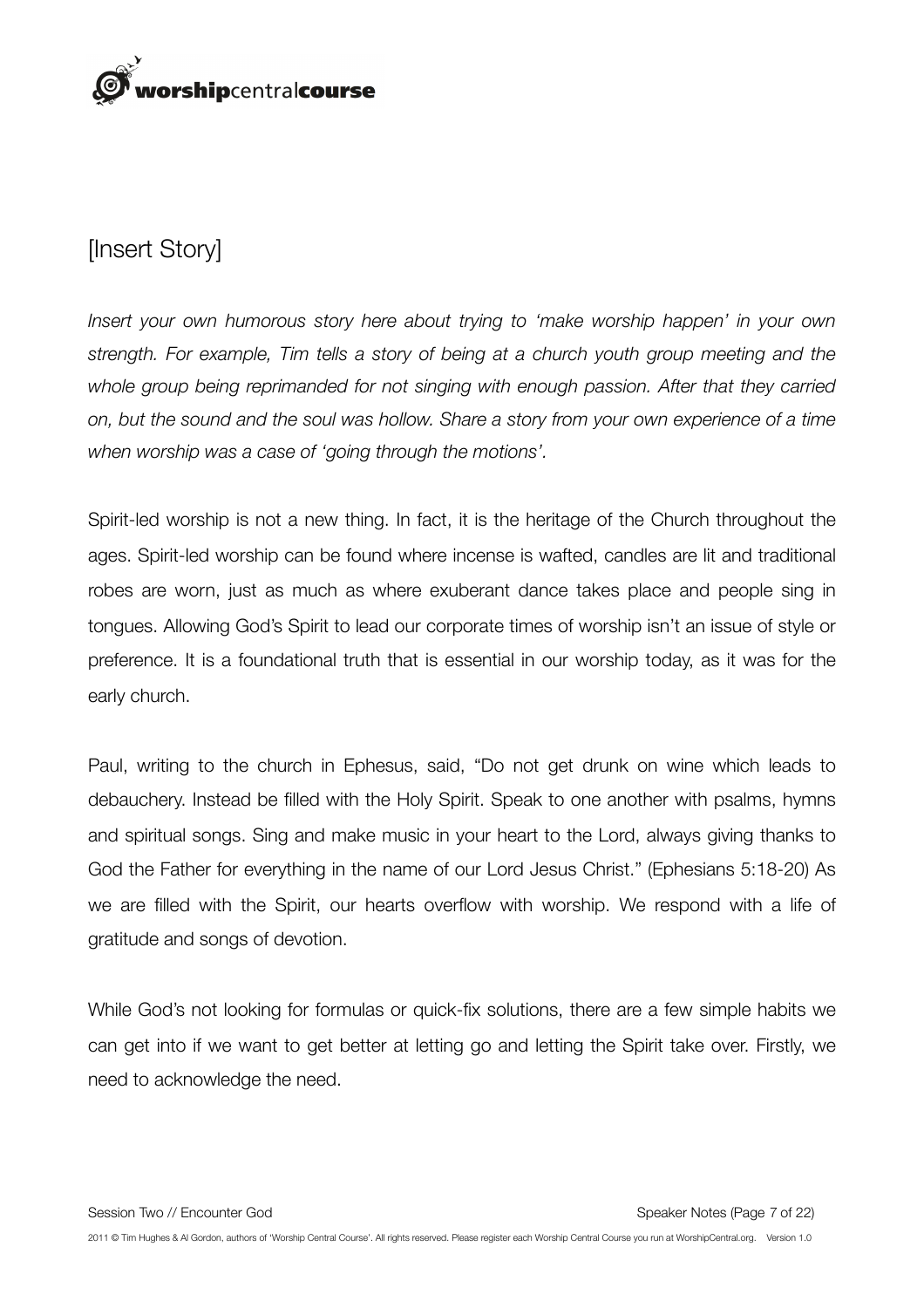

# [Insert Story]

*Insert your own humorous story here about trying to 'make worship happen' in your own strength. For example, Tim tells a story of being at a church youth group meeting and the whole group being reprimanded for not singing with enough passion. After that they carried on, but the sound and the soul was hollow. Share a story from your own experience of a time when worship was a case of 'going through the motions'.*

Spirit-led worship is not a new thing. In fact, it is the heritage of the Church throughout the ages. Spirit-led worship can be found where incense is wafted, candles are lit and traditional robes are worn, just as much as where exuberant dance takes place and people sing in tongues. Allowing God's Spirit to lead our corporate times of worship isn't an issue of style or preference. It is a foundational truth that is essential in our worship today, as it was for the early church.

Paul, writing to the church in Ephesus, said, "Do not get drunk on wine which leads to debauchery. Instead be filled with the Holy Spirit. Speak to one another with psalms, hymns and spiritual songs. Sing and make music in your heart to the Lord, always giving thanks to God the Father for everything in the name of our Lord Jesus Christ." (Ephesians 5:18-20) As we are filled with the Spirit, our hearts overflow with worship. We respond with a life of gratitude and songs of devotion.

While God's not looking for formulas or quick-fix solutions, there are a few simple habits we can get into if we want to get better at letting go and letting the Spirit take over. Firstly, we need to acknowledge the need.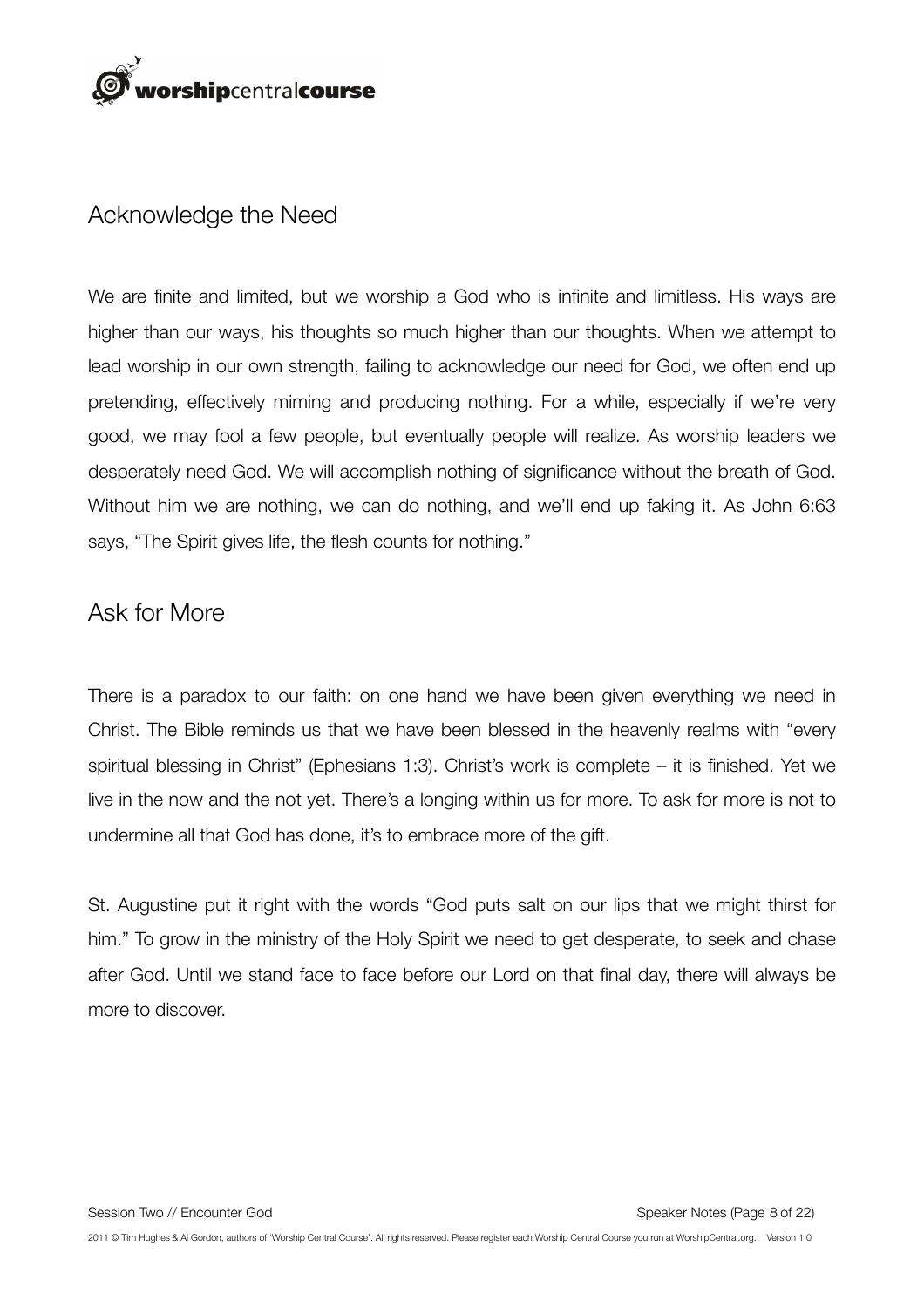

## Acknowledge the Need

We are finite and limited, but we worship a God who is infinite and limitless. His ways are higher than our ways, his thoughts so much higher than our thoughts. When we attempt to lead worship in our own strength, failing to acknowledge our need for God, we often end up pretending, effectively miming and producing nothing. For a while, especially if we're very good, we may fool a few people, but eventually people will realize. As worship leaders we desperately need God. We will accomplish nothing of significance without the breath of God. Without him we are nothing, we can do nothing, and we'll end up faking it. As John 6:63 says, "The Spirit gives life, the flesh counts for nothing."

#### Ask for More

There is a paradox to our faith: on one hand we have been given everything we need in Christ. The Bible reminds us that we have been blessed in the heavenly realms with "every spiritual blessing in Christ" (Ephesians 1:3). Christ's work is complete – it is finished. Yet we live in the now and the not yet. There's a longing within us for more. To ask for more is not to undermine all that God has done, it's to embrace more of the gift.

St. Augustine put it right with the words "God puts salt on our lips that we might thirst for him." To grow in the ministry of the Holy Spirit we need to get desperate, to seek and chase after God. Until we stand face to face before our Lord on that final day, there will always be more to discover.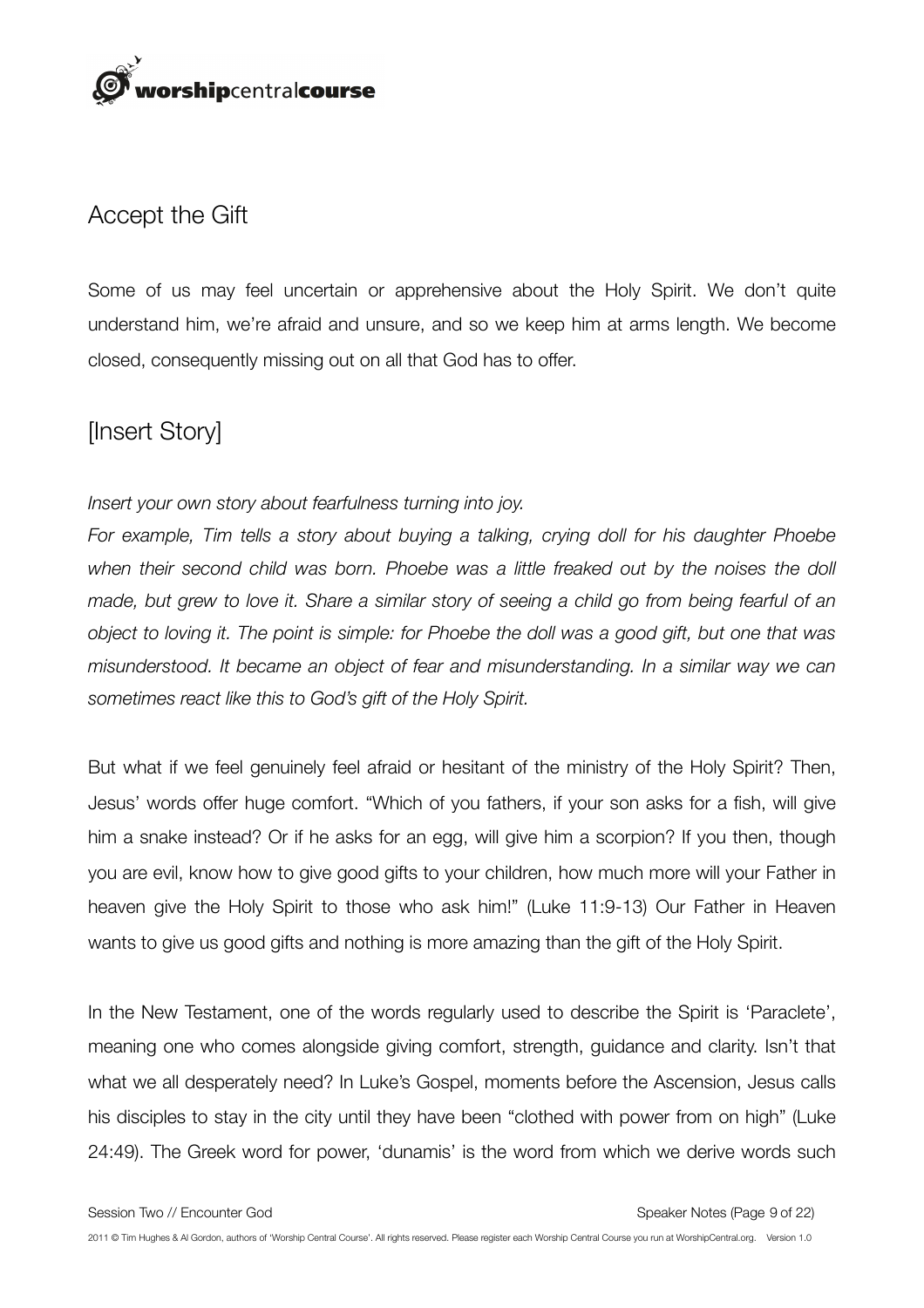

## Accept the Gift

Some of us may feel uncertain or apprehensive about the Holy Spirit. We don't quite understand him, we're afraid and unsure, and so we keep him at arms length. We become closed, consequently missing out on all that God has to offer.

# [Insert Story]

#### *Insert your own story about fearfulness turning into joy.*

*For example, Tim tells a story about buying a talking, crying doll for his daughter Phoebe when their second child was born. Phoebe was a little freaked out by the noises the doll made, but grew to love it. Share a similar story of seeing a child go from being fearful of an object to loving it. The point is simple: for Phoebe the doll was a good gift, but one that was misunderstood. It became an object of fear and misunderstanding. In a similar way we can sometimes react like this to God's gift of the Holy Spirit.* 

But what if we feel genuinely feel afraid or hesitant of the ministry of the Holy Spirit? Then, Jesus' words offer huge comfort. "Which of you fathers, if your son asks for a fish, will give him a snake instead? Or if he asks for an egg, will give him a scorpion? If you then, though you are evil, know how to give good gifts to your children, how much more will your Father in heaven give the Holy Spirit to those who ask him!" (Luke 11:9-13) Our Father in Heaven wants to give us good gifts and nothing is more amazing than the gift of the Holy Spirit.

In the New Testament, one of the words regularly used to describe the Spirit is 'Paraclete', meaning one who comes alongside giving comfort, strength, guidance and clarity. Isn't that what we all desperately need? In Luke's Gospel, moments before the Ascension, Jesus calls his disciples to stay in the city until they have been "clothed with power from on high" (Luke 24:49). The Greek word for power, 'dunamis' is the word from which we derive words such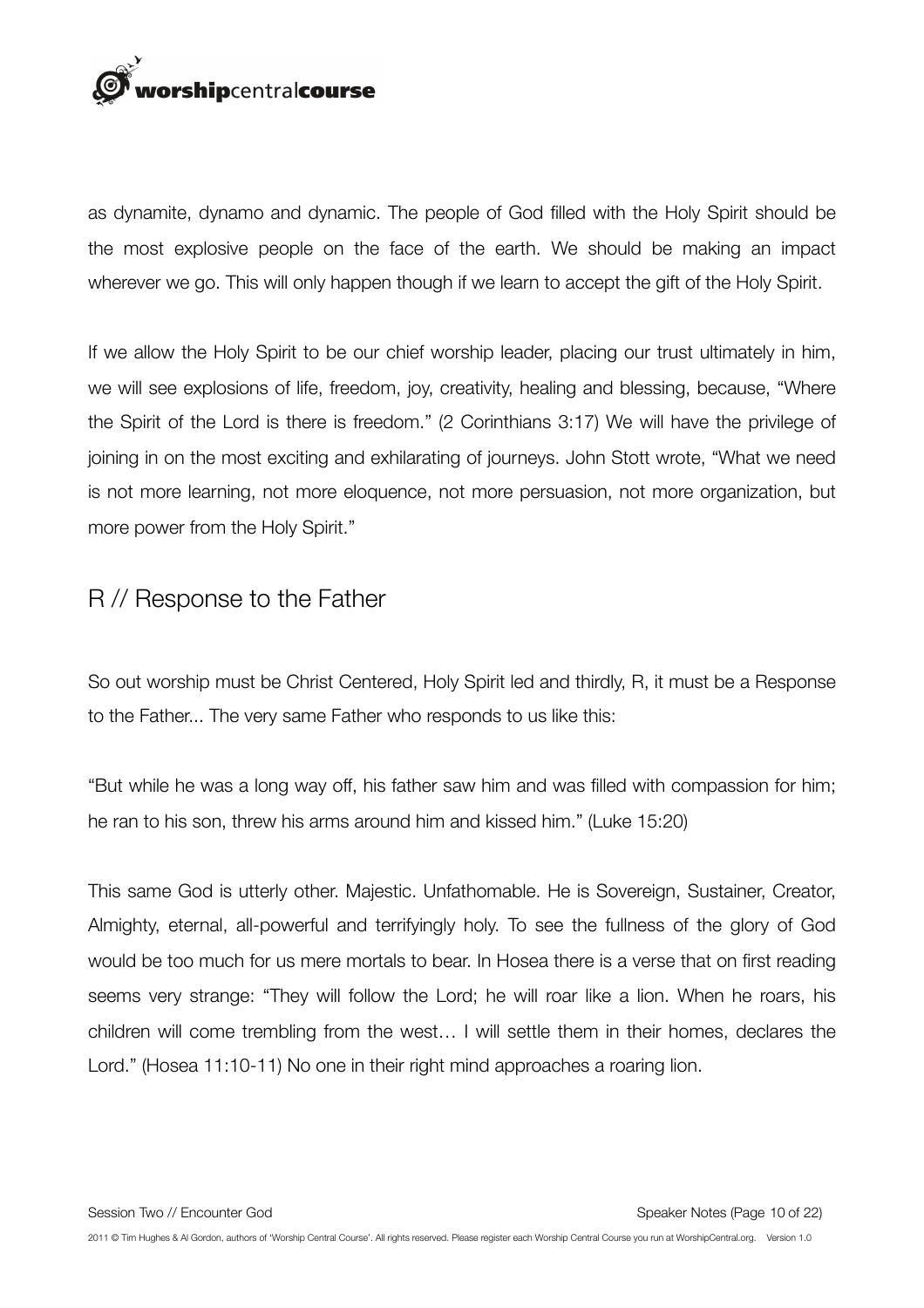

as dynamite, dynamo and dynamic. The people of God filled with the Holy Spirit should be the most explosive people on the face of the earth. We should be making an impact wherever we go. This will only happen though if we learn to accept the gift of the Holy Spirit.

If we allow the Holy Spirit to be our chief worship leader, placing our trust ultimately in him, we will see explosions of life, freedom, joy, creativity, healing and blessing, because, "Where the Spirit of the Lord is there is freedom." (2 Corinthians 3:17) We will have the privilege of joining in on the most exciting and exhilarating of journeys. John Stott wrote, "What we need is not more learning, not more eloquence, not more persuasion, not more organization, but more power from the Holy Spirit."

## R // Response to the Father

So out worship must be Christ Centered, Holy Spirit led and thirdly, R, it must be a Response to the Father... The very same Father who responds to us like this:

"But while he was a long way off, his father saw him and was filled with compassion for him; he ran to his son, threw his arms around him and kissed him." (Luke 15:20)

This same God is utterly other. Majestic. Unfathomable. He is Sovereign, Sustainer, Creator, Almighty, eternal, all-powerful and terrifyingly holy. To see the fullness of the glory of God would be too much for us mere mortals to bear. In Hosea there is a verse that on first reading seems very strange: "They will follow the Lord; he will roar like a lion. When he roars, his children will come trembling from the west… I will settle them in their homes, declares the Lord." (Hosea 11:10-11) No one in their right mind approaches a roaring lion.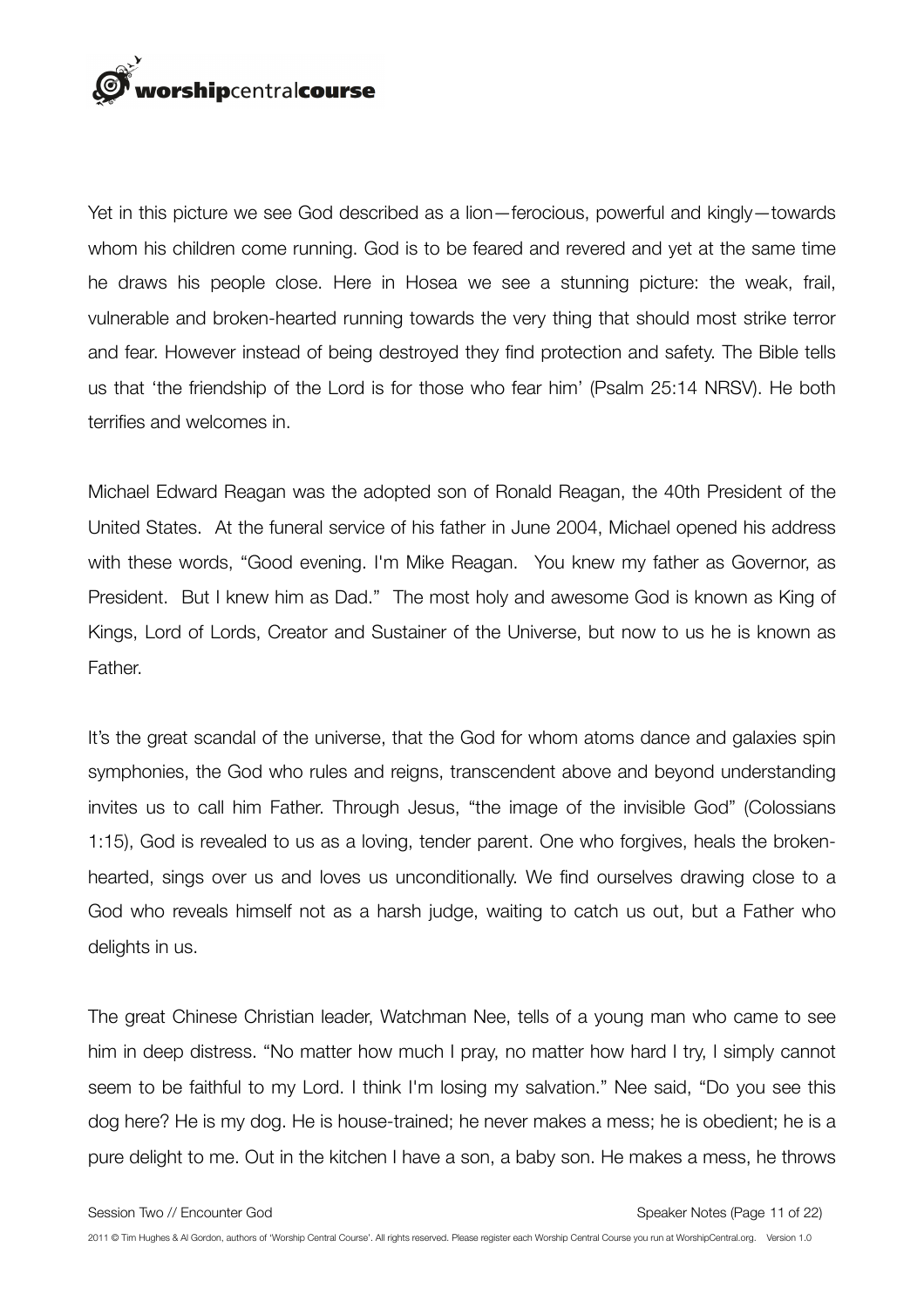

Yet in this picture we see God described as a lion—ferocious, powerful and kingly—towards whom his children come running. God is to be feared and revered and yet at the same time he draws his people close. Here in Hosea we see a stunning picture: the weak, frail, vulnerable and broken-hearted running towards the very thing that should most strike terror and fear. However instead of being destroyed they find protection and safety. The Bible tells us that 'the friendship of the Lord is for those who fear him' (Psalm 25:14 NRSV). He both terrifies and welcomes in.

Michael Edward Reagan was the adopted son of Ronald Reagan, the 40th President of the United States. At the funeral service of his father in June 2004, Michael opened his address with these words, "Good evening. I'm Mike Reagan. You knew my father as Governor, as President. But I knew him as Dad." The most holy and awesome God is known as King of Kings, Lord of Lords, Creator and Sustainer of the Universe, but now to us he is known as Father.

It's the great scandal of the universe, that the God for whom atoms dance and galaxies spin symphonies, the God who rules and reigns, transcendent above and beyond understanding invites us to call him Father. Through Jesus, "the image of the invisible God" (Colossians 1:15), God is revealed to us as a loving, tender parent. One who forgives, heals the brokenhearted, sings over us and loves us unconditionally. We find ourselves drawing close to a God who reveals himself not as a harsh judge, waiting to catch us out, but a Father who delights in us.

The great Chinese Christian leader, Watchman Nee, tells of a young man who came to see him in deep distress. "No matter how much I pray, no matter how hard I try, I simply cannot seem to be faithful to my Lord. I think I'm losing my salvation." Nee said, "Do you see this dog here? He is my dog. He is house-trained; he never makes a mess; he is obedient; he is a pure delight to me. Out in the kitchen I have a son, a baby son. He makes a mess, he throws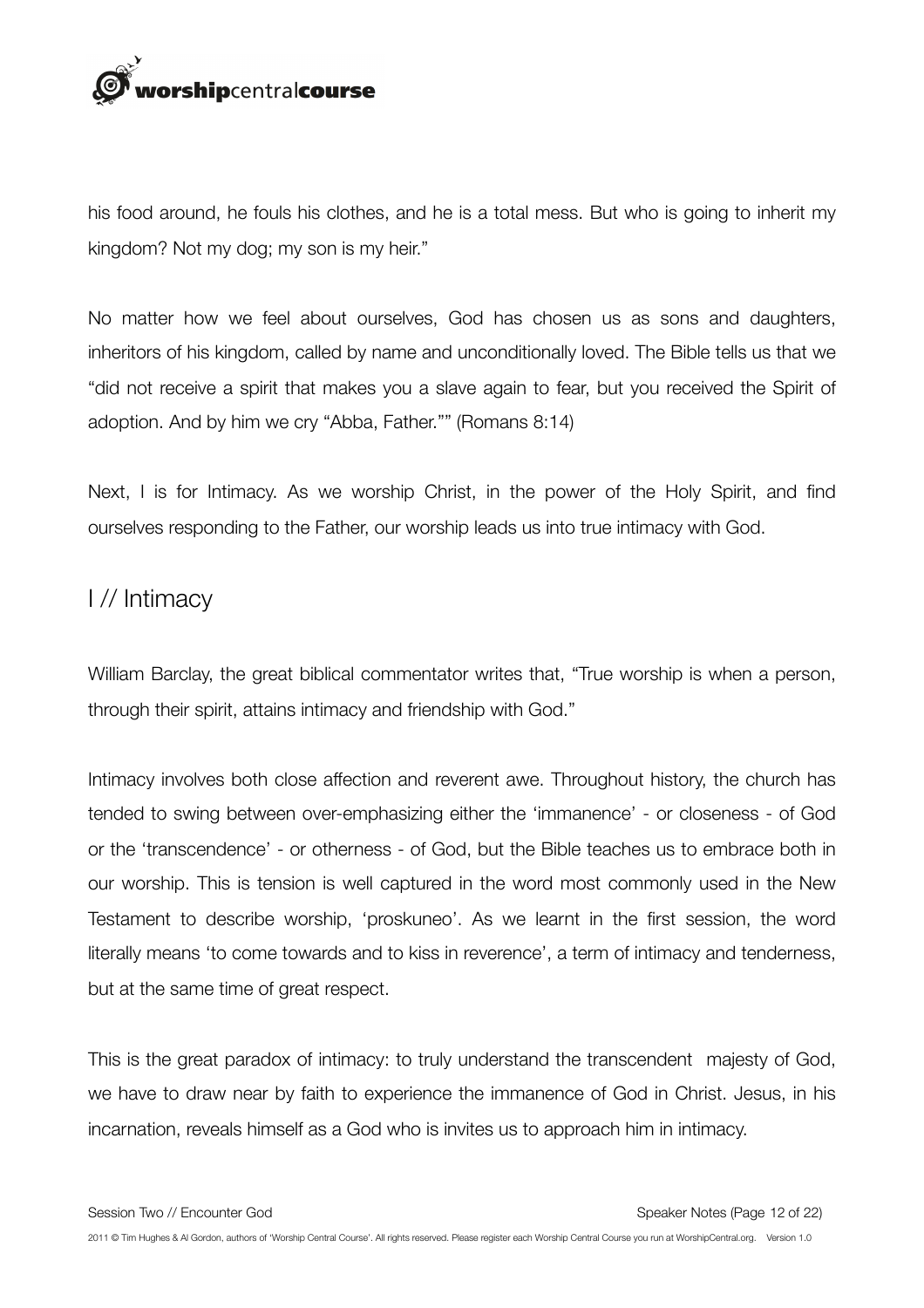

his food around, he fouls his clothes, and he is a total mess. But who is going to inherit my kingdom? Not my dog; my son is my heir."

No matter how we feel about ourselves, God has chosen us as sons and daughters, inheritors of his kingdom, called by name and unconditionally loved. The Bible tells us that we "did not receive a spirit that makes you a slave again to fear, but you received the Spirit of adoption. And by him we cry "Abba, Father."" (Romans 8:14)

Next, I is for Intimacy. As we worship Christ, in the power of the Holy Spirit, and find ourselves responding to the Father, our worship leads us into true intimacy with God.

#### I // Intimacy

William Barclay, the great biblical commentator writes that, "True worship is when a person, through their spirit, attains intimacy and friendship with God."

Intimacy involves both close affection and reverent awe. Throughout history, the church has tended to swing between over-emphasizing either the 'immanence' - or closeness - of God or the 'transcendence' - or otherness - of God, but the Bible teaches us to embrace both in our worship. This is tension is well captured in the word most commonly used in the New Testament to describe worship, 'proskuneo'. As we learnt in the first session, the word literally means 'to come towards and to kiss in reverence', a term of intimacy and tenderness, but at the same time of great respect.

This is the great paradox of intimacy: to truly understand the transcendent majesty of God, we have to draw near by faith to experience the immanence of God in Christ. Jesus, in his incarnation, reveals himself as a God who is invites us to approach him in intimacy.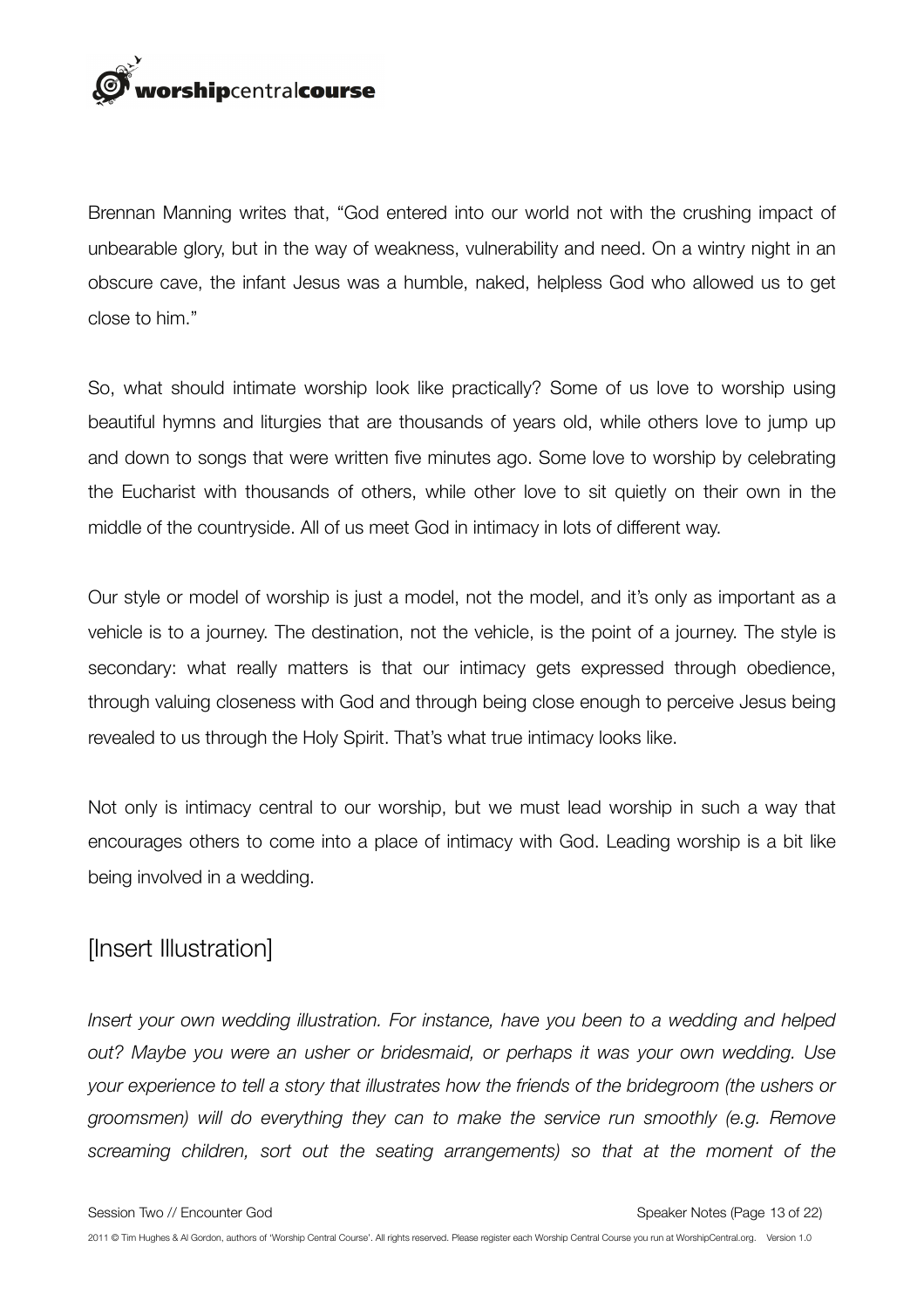

Brennan Manning writes that, "God entered into our world not with the crushing impact of unbearable glory, but in the way of weakness, vulnerability and need. On a wintry night in an obscure cave, the infant Jesus was a humble, naked, helpless God who allowed us to get close to him."

So, what should intimate worship look like practically? Some of us love to worship using beautiful hymns and liturgies that are thousands of years old, while others love to jump up and down to songs that were written five minutes ago. Some love to worship by celebrating the Eucharist with thousands of others, while other love to sit quietly on their own in the middle of the countryside. All of us meet God in intimacy in lots of different way.

Our style or model of worship is just a model, not the model, and it's only as important as a vehicle is to a journey. The destination, not the vehicle, is the point of a journey. The style is secondary: what really matters is that our intimacy gets expressed through obedience, through valuing closeness with God and through being close enough to perceive Jesus being revealed to us through the Holy Spirit. That's what true intimacy looks like.

Not only is intimacy central to our worship, but we must lead worship in such a way that encourages others to come into a place of intimacy with God. Leading worship is a bit like being involved in a wedding.

# [Insert Illustration]

*Insert your own wedding illustration. For instance, have you been to a wedding and helped out? Maybe you were an usher or bridesmaid, or perhaps it was your own wedding. Use your experience to tell a story that illustrates how the friends of the bridegroom (the ushers or groomsmen) will do everything they can to make the service run smoothly (e.g. Remove screaming children, sort out the seating arrangements) so that at the moment of the*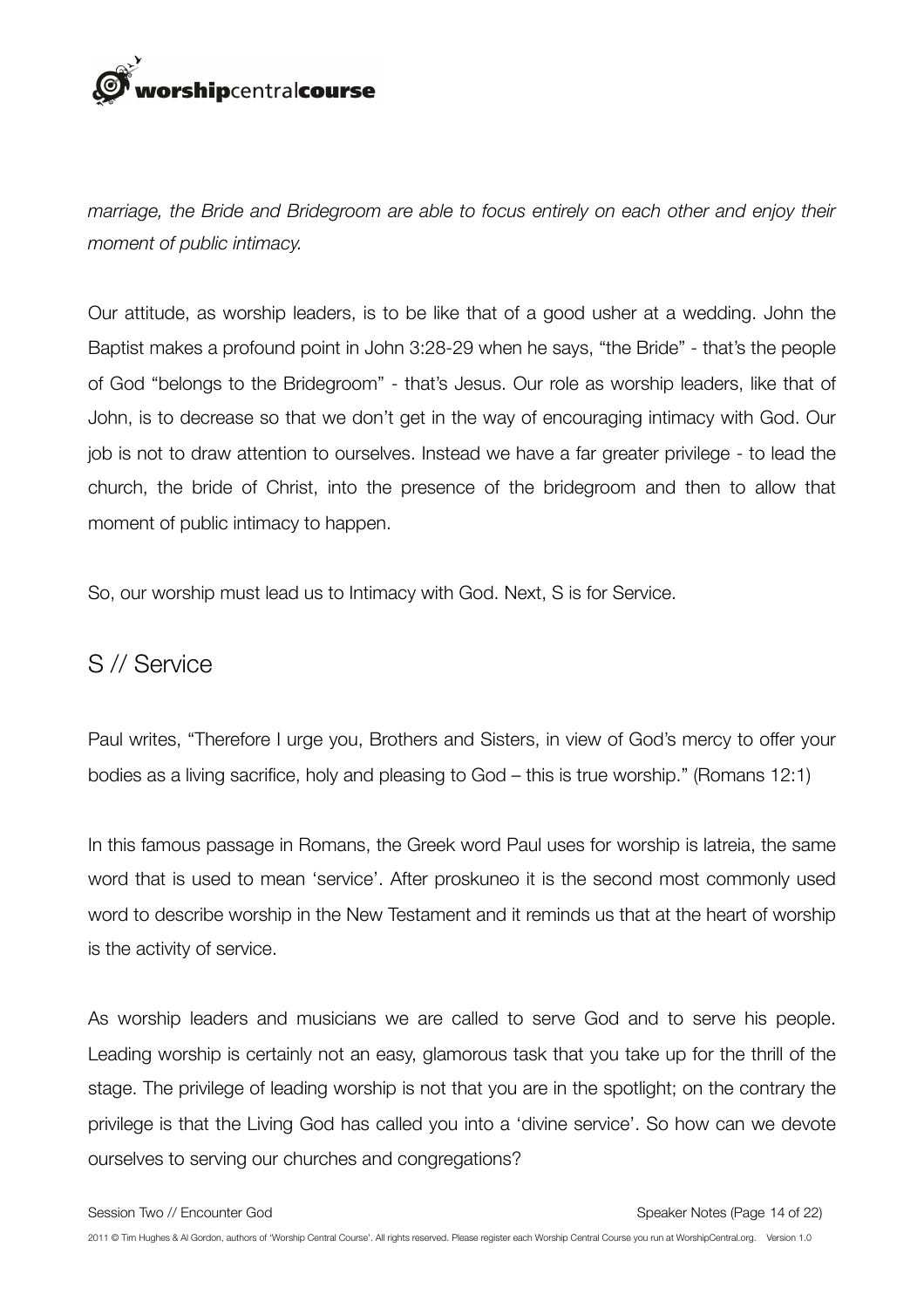

*marriage, the Bride and Bridegroom are able to focus entirely on each other and enjoy their moment of public intimacy.* 

Our attitude, as worship leaders, is to be like that of a good usher at a wedding. John the Baptist makes a profound point in John 3:28-29 when he says, "the Bride" - that's the people of God "belongs to the Bridegroom" - that's Jesus. Our role as worship leaders, like that of John, is to decrease so that we don't get in the way of encouraging intimacy with God. Our job is not to draw attention to ourselves. Instead we have a far greater privilege - to lead the church, the bride of Christ, into the presence of the bridegroom and then to allow that moment of public intimacy to happen.

So, our worship must lead us to Intimacy with God. Next, S is for Service.

#### S // Service

Paul writes, "Therefore I urge you, Brothers and Sisters, in view of God's mercy to offer your bodies as a living sacrifice, holy and pleasing to God – this is true worship." (Romans 12:1)

In this famous passage in Romans, the Greek word Paul uses for worship is latreia, the same word that is used to mean 'service'. After proskuneo it is the second most commonly used word to describe worship in the New Testament and it reminds us that at the heart of worship is the activity of service.

As worship leaders and musicians we are called to serve God and to serve his people. Leading worship is certainly not an easy, glamorous task that you take up for the thrill of the stage. The privilege of leading worship is not that you are in the spotlight; on the contrary the privilege is that the Living God has called you into a 'divine service'. So how can we devote ourselves to serving our churches and congregations?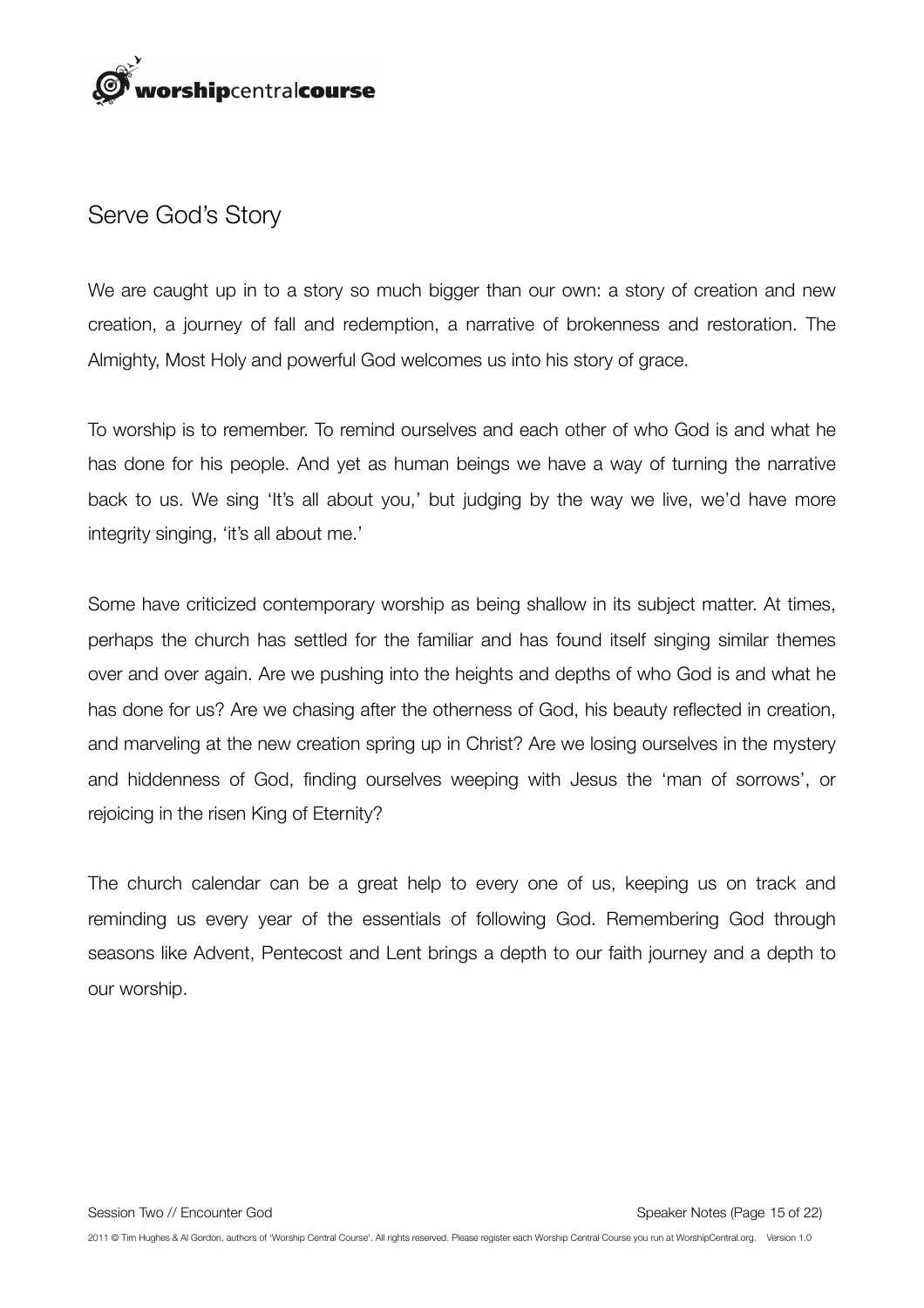

#### Serve God's Story

We are caught up in to a story so much bigger than our own: a story of creation and new creation, a journey of fall and redemption, a narrative of brokenness and restoration. The Almighty, Most Holy and powerful God welcomes us into his story of grace.

To worship is to remember. To remind ourselves and each other of who God is and what he has done for his people. And yet as human beings we have a way of turning the narrative back to us. We sing 'It's all about you,' but judging by the way we live, we'd have more integrity singing, 'it's all about me.'

Some have criticized contemporary worship as being shallow in its subject matter. At times, perhaps the church has settled for the familiar and has found itself singing similar themes over and over again. Are we pushing into the heights and depths of who God is and what he has done for us? Are we chasing after the otherness of God, his beauty reflected in creation, and marveling at the new creation spring up in Christ? Are we losing ourselves in the mystery and hiddenness of God, finding ourselves weeping with Jesus the 'man of sorrows', or rejoicing in the risen King of Eternity?

The church calendar can be a great help to every one of us, keeping us on track and reminding us every year of the essentials of following God. Remembering God through seasons like Advent, Pentecost and Lent brings a depth to our faith journey and a depth to our worship.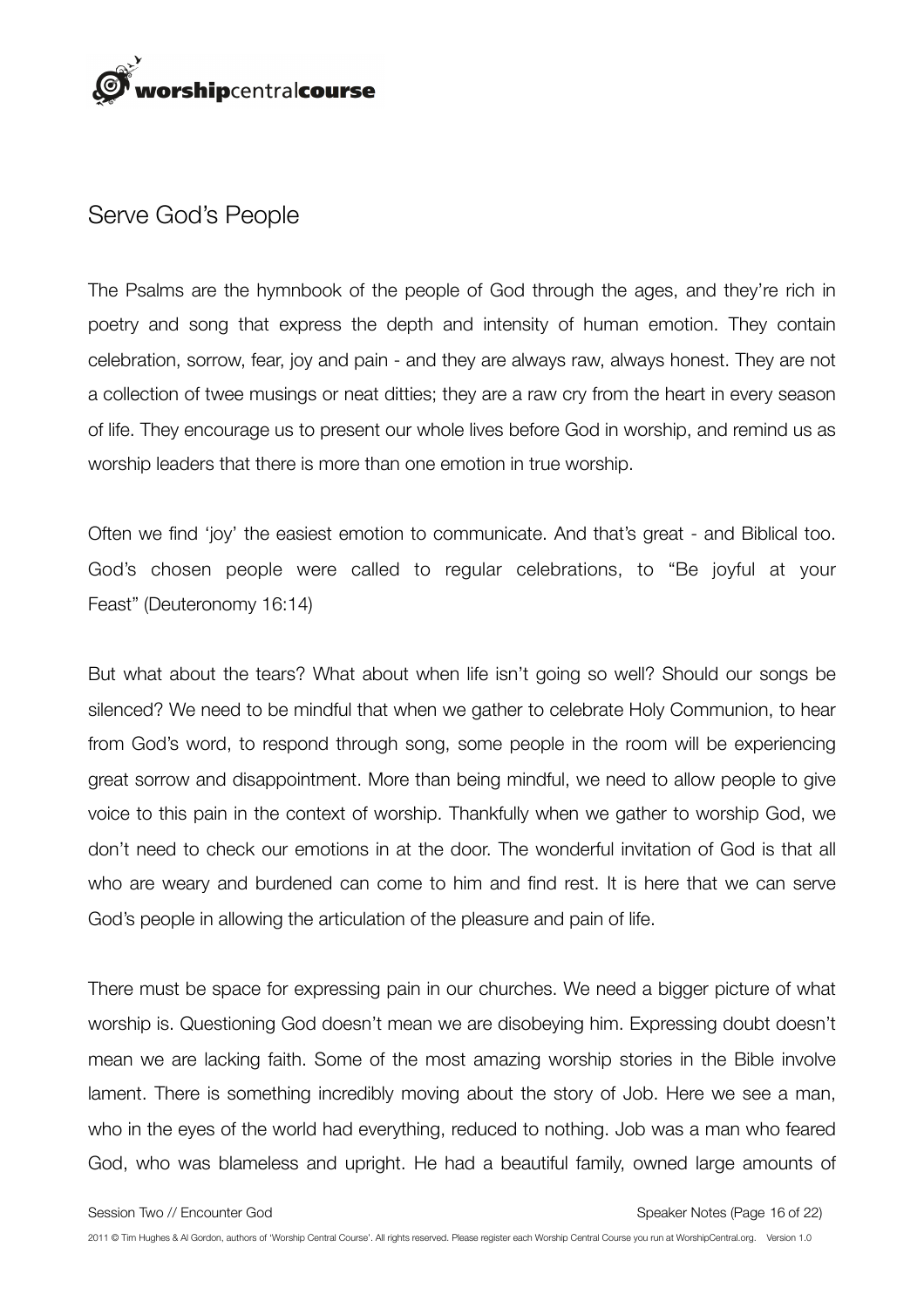

#### Serve God's People

The Psalms are the hymnbook of the people of God through the ages, and they're rich in poetry and song that express the depth and intensity of human emotion. They contain celebration, sorrow, fear, joy and pain - and they are always raw, always honest. They are not a collection of twee musings or neat ditties; they are a raw cry from the heart in every season of life. They encourage us to present our whole lives before God in worship, and remind us as worship leaders that there is more than one emotion in true worship.

Often we find 'joy' the easiest emotion to communicate. And that's great - and Biblical too. God's chosen people were called to regular celebrations, to "Be joyful at your Feast" (Deuteronomy 16:14)

But what about the tears? What about when life isn't going so well? Should our songs be silenced? We need to be mindful that when we gather to celebrate Holy Communion, to hear from God's word, to respond through song, some people in the room will be experiencing great sorrow and disappointment. More than being mindful, we need to allow people to give voice to this pain in the context of worship. Thankfully when we gather to worship God, we don't need to check our emotions in at the door. The wonderful invitation of God is that all who are weary and burdened can come to him and find rest. It is here that we can serve God's people in allowing the articulation of the pleasure and pain of life.

There must be space for expressing pain in our churches. We need a bigger picture of what worship is. Questioning God doesn't mean we are disobeying him. Expressing doubt doesn't mean we are lacking faith. Some of the most amazing worship stories in the Bible involve lament. There is something incredibly moving about the story of Job. Here we see a man, who in the eyes of the world had everything, reduced to nothing. Job was a man who feared God, who was blameless and upright. He had a beautiful family, owned large amounts of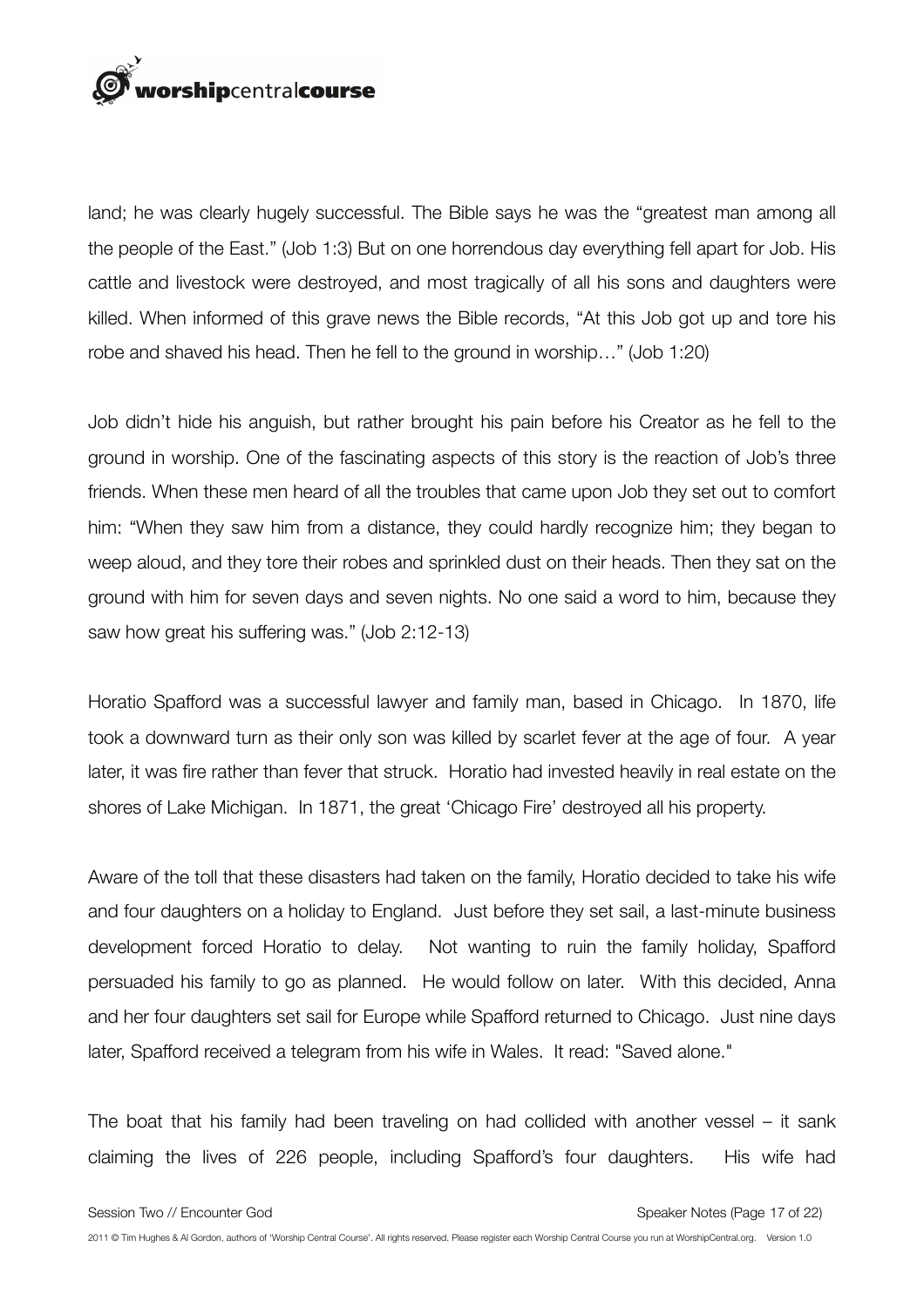

land; he was clearly hugely successful. The Bible says he was the "greatest man among all the people of the East." (Job 1:3) But on one horrendous day everything fell apart for Job. His cattle and livestock were destroyed, and most tragically of all his sons and daughters were killed. When informed of this grave news the Bible records, "At this Job got up and tore his robe and shaved his head. Then he fell to the ground in worship…" (Job 1:20)

Job didn't hide his anguish, but rather brought his pain before his Creator as he fell to the ground in worship. One of the fascinating aspects of this story is the reaction of Job's three friends. When these men heard of all the troubles that came upon Job they set out to comfort him: "When they saw him from a distance, they could hardly recognize him; they began to weep aloud, and they tore their robes and sprinkled dust on their heads. Then they sat on the ground with him for seven days and seven nights. No one said a word to him, because they saw how great his suffering was." (Job 2:12-13)

Horatio Spafford was a successful lawyer and family man, based in Chicago. In 1870, life took a downward turn as their only son was killed by scarlet fever at the age of four. A year later, it was fire rather than fever that struck. Horatio had invested heavily in real estate on the shores of Lake Michigan. In 1871, the great 'Chicago Fire' destroyed all his property.

Aware of the toll that these disasters had taken on the family, Horatio decided to take his wife and four daughters on a holiday to England. Just before they set sail, a last-minute business development forced Horatio to delay. Not wanting to ruin the family holiday, Spafford persuaded his family to go as planned. He would follow on later. With this decided, Anna and her four daughters set sail for Europe while Spafford returned to Chicago. Just nine days later, Spafford received a telegram from his wife in Wales. It read: "Saved alone."

The boat that his family had been traveling on had collided with another vessel – it sank claiming the lives of 226 people, including Spafford's four daughters. His wife had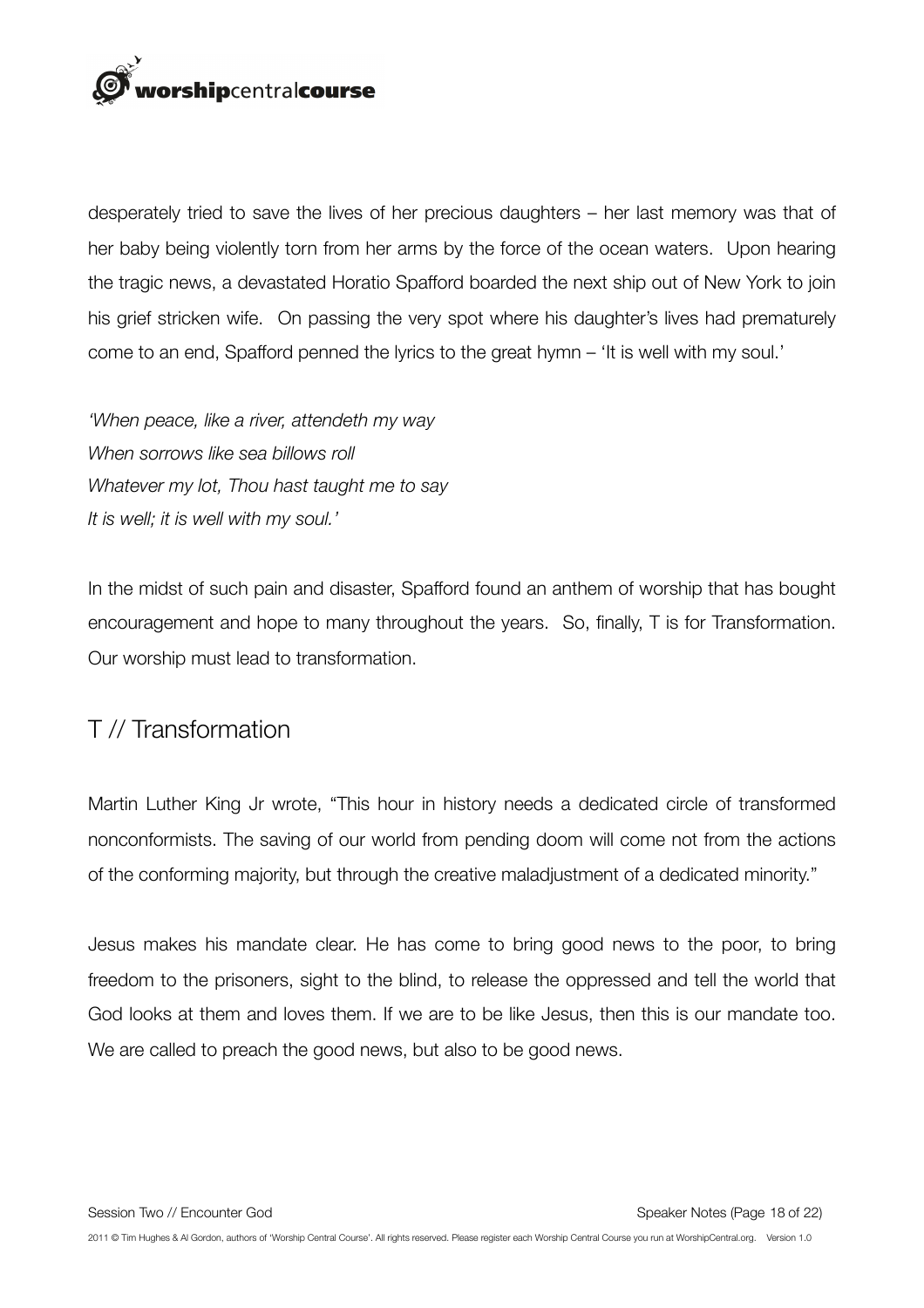

desperately tried to save the lives of her precious daughters – her last memory was that of her baby being violently torn from her arms by the force of the ocean waters. Upon hearing the tragic news, a devastated Horatio Spafford boarded the next ship out of New York to join his grief stricken wife. On passing the very spot where his daughter's lives had prematurely come to an end, Spafford penned the lyrics to the great hymn – 'It is well with my soul.'

*'When peace, like a river, attendeth my way When sorrows like sea billows roll Whatever my lot, Thou hast taught me to say It is well; it is well with my soul.'*

In the midst of such pain and disaster, Spafford found an anthem of worship that has bought encouragement and hope to many throughout the years. So, finally, T is for Transformation. Our worship must lead to transformation.

# T // Transformation

Martin Luther King Jr wrote, "This hour in history needs a dedicated circle of transformed nonconformists. The saving of our world from pending doom will come not from the actions of the conforming majority, but through the creative maladjustment of a dedicated minority."

Jesus makes his mandate clear. He has come to bring good news to the poor, to bring freedom to the prisoners, sight to the blind, to release the oppressed and tell the world that God looks at them and loves them. If we are to be like Jesus, then this is our mandate too. We are called to preach the good news, but also to be good news.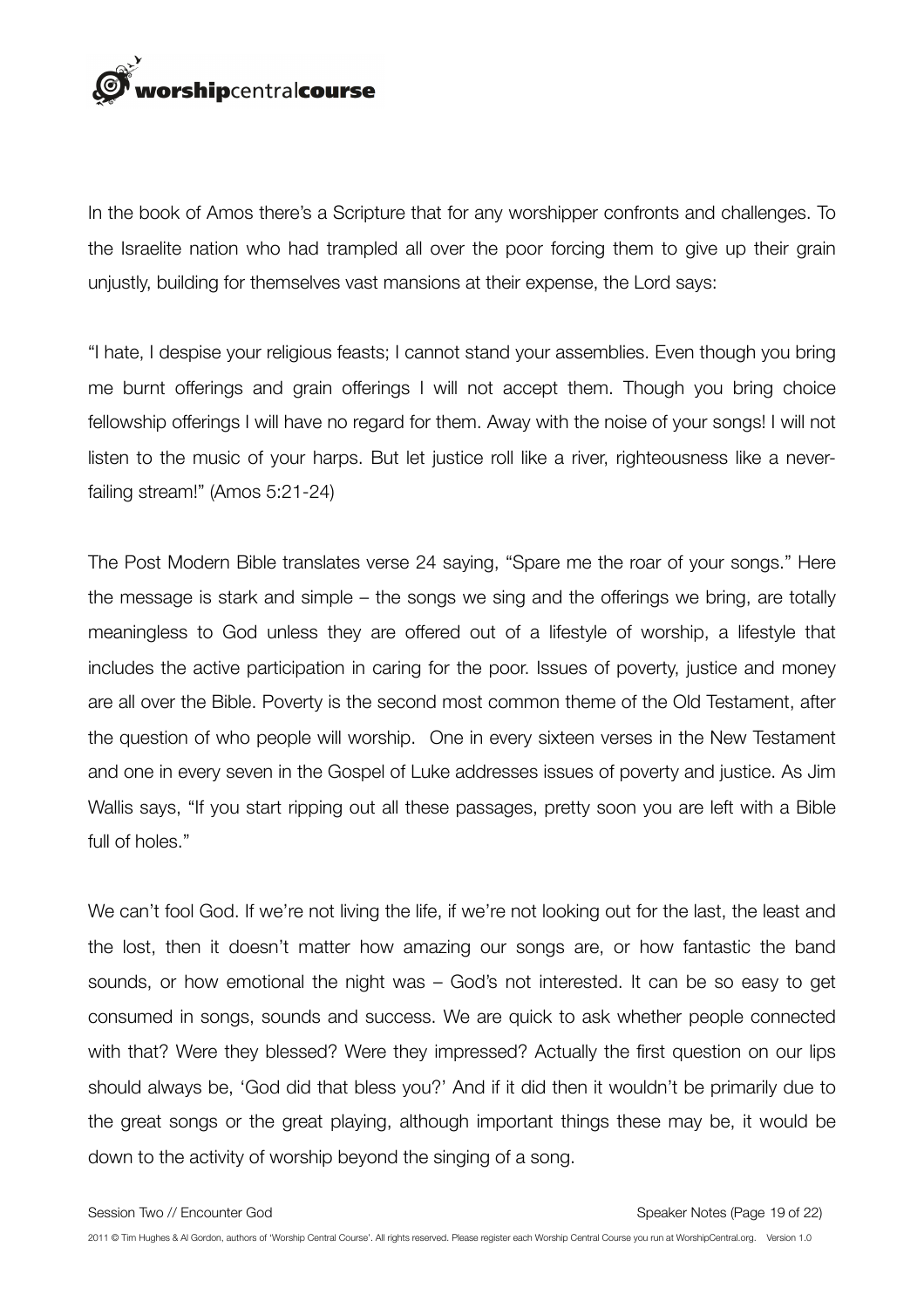

In the book of Amos there's a Scripture that for any worshipper confronts and challenges. To the Israelite nation who had trampled all over the poor forcing them to give up their grain unjustly, building for themselves vast mansions at their expense, the Lord says:

"I hate, I despise your religious feasts; I cannot stand your assemblies. Even though you bring me burnt offerings and grain offerings I will not accept them. Though you bring choice fellowship offerings I will have no regard for them. Away with the noise of your songs! I will not listen to the music of your harps. But let justice roll like a river, righteousness like a neverfailing stream!" (Amos 5:21-24)

The Post Modern Bible translates verse 24 saying, "Spare me the roar of your songs." Here the message is stark and simple – the songs we sing and the offerings we bring, are totally meaningless to God unless they are offered out of a lifestyle of worship, a lifestyle that includes the active participation in caring for the poor. Issues of poverty, justice and money are all over the Bible. Poverty is the second most common theme of the Old Testament, after the question of who people will worship. One in every sixteen verses in the New Testament and one in every seven in the Gospel of Luke addresses issues of poverty and justice. As Jim Wallis says, "If you start ripping out all these passages, pretty soon you are left with a Bible full of holes."

We can't fool God. If we're not living the life, if we're not looking out for the last, the least and the lost, then it doesn't matter how amazing our songs are, or how fantastic the band sounds, or how emotional the night was – God's not interested. It can be so easy to get consumed in songs, sounds and success. We are quick to ask whether people connected with that? Were they blessed? Were they impressed? Actually the first question on our lips should always be, 'God did that bless you?' And if it did then it wouldn't be primarily due to the great songs or the great playing, although important things these may be, it would be down to the activity of worship beyond the singing of a song.

Session Two // Encounter God Speaker Notes (Page 19 of 22)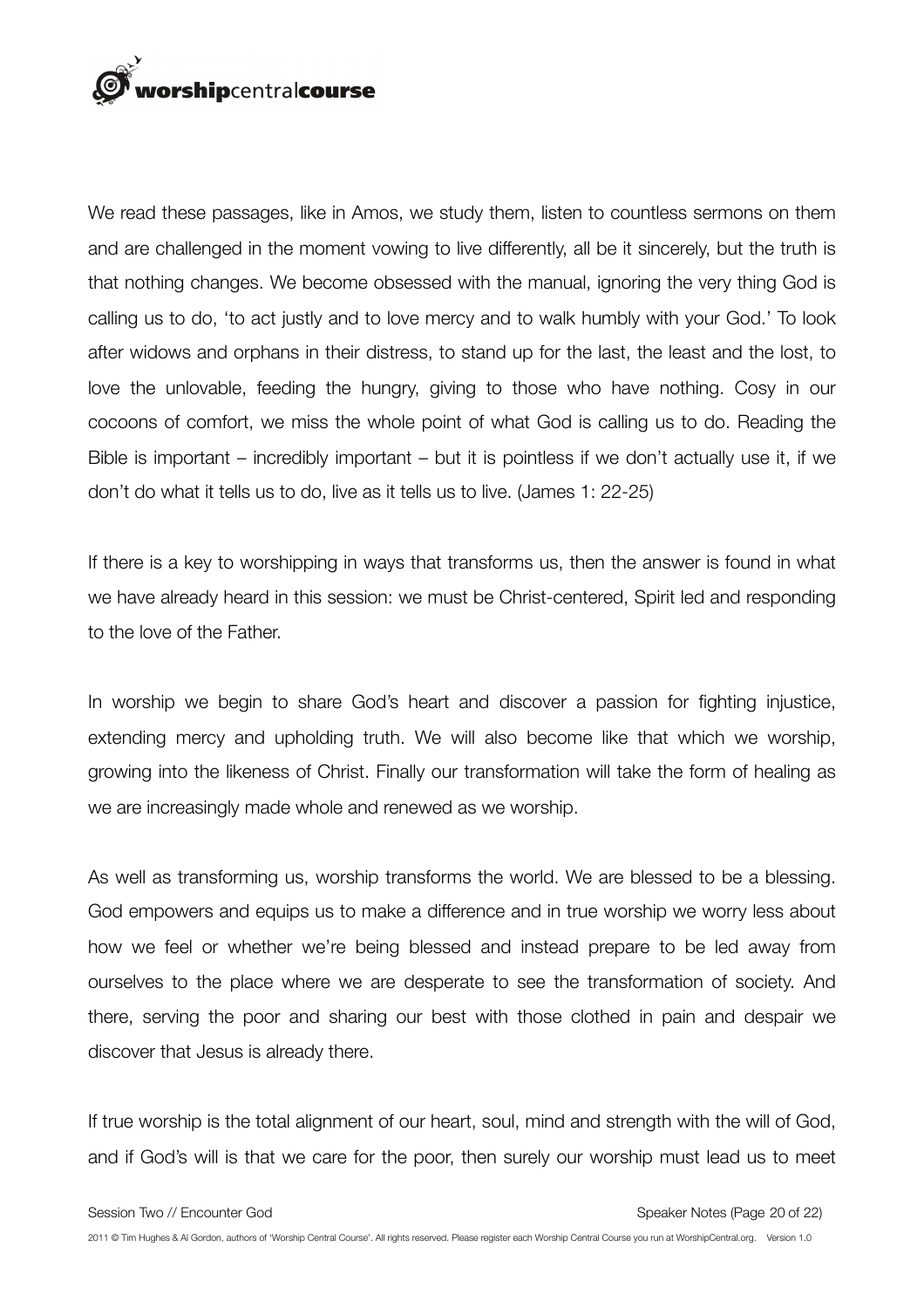

We read these passages, like in Amos, we study them, listen to countless sermons on them and are challenged in the moment vowing to live differently, all be it sincerely, but the truth is that nothing changes. We become obsessed with the manual, ignoring the very thing God is calling us to do, 'to act justly and to love mercy and to walk humbly with your God.' To look after widows and orphans in their distress, to stand up for the last, the least and the lost, to love the unlovable, feeding the hungry, giving to those who have nothing. Cosy in our cocoons of comfort, we miss the whole point of what God is calling us to do. Reading the Bible is important – incredibly important – but it is pointless if we don't actually use it, if we don't do what it tells us to do, live as it tells us to live. (James 1: 22-25)

If there is a key to worshipping in ways that transforms us, then the answer is found in what we have already heard in this session: we must be Christ-centered, Spirit led and responding to the love of the Father.

In worship we begin to share God's heart and discover a passion for fighting injustice, extending mercy and upholding truth. We will also become like that which we worship, growing into the likeness of Christ. Finally our transformation will take the form of healing as we are increasingly made whole and renewed as we worship.

As well as transforming us, worship transforms the world. We are blessed to be a blessing. God empowers and equips us to make a difference and in true worship we worry less about how we feel or whether we're being blessed and instead prepare to be led away from ourselves to the place where we are desperate to see the transformation of society. And there, serving the poor and sharing our best with those clothed in pain and despair we discover that Jesus is already there.

If true worship is the total alignment of our heart, soul, mind and strength with the will of God, and if God's will is that we care for the poor, then surely our worship must lead us to meet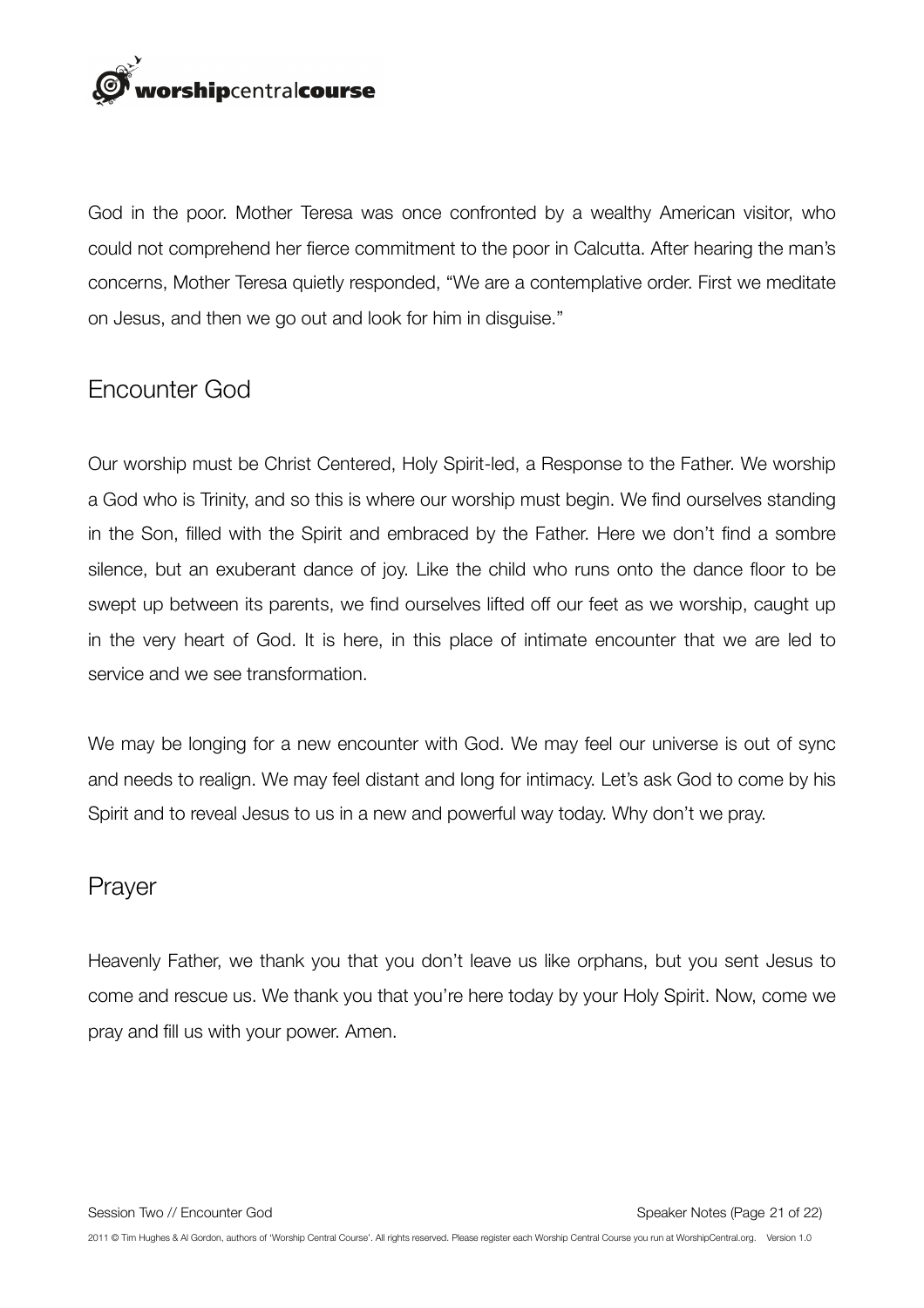

God in the poor. Mother Teresa was once confronted by a wealthy American visitor, who could not comprehend her fierce commitment to the poor in Calcutta. After hearing the man's concerns, Mother Teresa quietly responded, "We are a contemplative order. First we meditate on Jesus, and then we go out and look for him in disguise."

## Encounter God

Our worship must be Christ Centered, Holy Spirit-led, a Response to the Father. We worship a God who is Trinity, and so this is where our worship must begin. We find ourselves standing in the Son, filled with the Spirit and embraced by the Father. Here we don't find a sombre silence, but an exuberant dance of joy. Like the child who runs onto the dance floor to be swept up between its parents, we find ourselves lifted off our feet as we worship, caught up in the very heart of God. It is here, in this place of intimate encounter that we are led to service and we see transformation.

We may be longing for a new encounter with God. We may feel our universe is out of sync and needs to realign. We may feel distant and long for intimacy. Let's ask God to come by his Spirit and to reveal Jesus to us in a new and powerful way today. Why don't we pray.

#### Prayer

Heavenly Father, we thank you that you don't leave us like orphans, but you sent Jesus to come and rescue us. We thank you that you're here today by your Holy Spirit. Now, come we pray and fill us with your power. Amen.